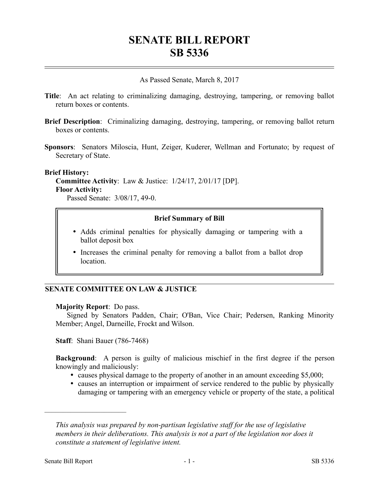# **SENATE BILL REPORT SB 5336**

As Passed Senate, March 8, 2017

- **Title**: An act relating to criminalizing damaging, destroying, tampering, or removing ballot return boxes or contents.
- **Brief Description**: Criminalizing damaging, destroying, tampering, or removing ballot return boxes or contents.
- **Sponsors**: Senators Miloscia, Hunt, Zeiger, Kuderer, Wellman and Fortunato; by request of Secretary of State.

**Brief History:** 

**Committee Activity**: Law & Justice: 1/24/17, 2/01/17 [DP]. **Floor Activity:**

Passed Senate: 3/08/17, 49-0.

## **Brief Summary of Bill**

- Adds criminal penalties for physically damaging or tampering with a ballot deposit box
- Increases the criminal penalty for removing a ballot from a ballot drop location.

## **SENATE COMMITTEE ON LAW & JUSTICE**

### **Majority Report**: Do pass.

Signed by Senators Padden, Chair; O'Ban, Vice Chair; Pedersen, Ranking Minority Member; Angel, Darneille, Frockt and Wilson.

**Staff**: Shani Bauer (786-7468)

**Background**: A person is guilty of malicious mischief in the first degree if the person knowingly and maliciously:

- causes physical damage to the property of another in an amount exceeding \$5,000;
- causes an interruption or impairment of service rendered to the public by physically damaging or tampering with an emergency vehicle or property of the state, a political

––––––––––––––––––––––

*This analysis was prepared by non-partisan legislative staff for the use of legislative members in their deliberations. This analysis is not a part of the legislation nor does it constitute a statement of legislative intent.*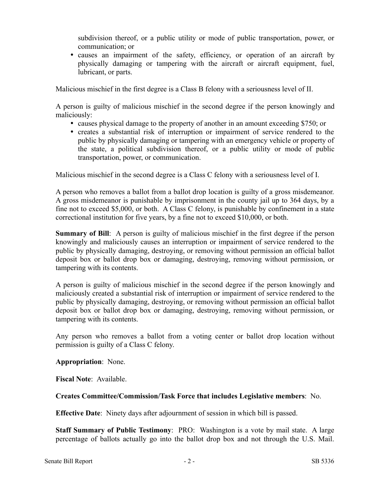subdivision thereof, or a public utility or mode of public transportation, power, or communication; or

 causes an impairment of the safety, efficiency, or operation of an aircraft by physically damaging or tampering with the aircraft or aircraft equipment, fuel, lubricant, or parts.

Malicious mischief in the first degree is a Class B felony with a seriousness level of II.

A person is guilty of malicious mischief in the second degree if the person knowingly and maliciously:

- causes physical damage to the property of another in an amount exceeding \$750; or
- creates a substantial risk of interruption or impairment of service rendered to the public by physically damaging or tampering with an emergency vehicle or property of the state, a political subdivision thereof, or a public utility or mode of public transportation, power, or communication.

Malicious mischief in the second degree is a Class C felony with a seriousness level of I.

A person who removes a ballot from a ballot drop location is guilty of a gross misdemeanor. A gross misdemeanor is punishable by imprisonment in the county jail up to 364 days, by a fine not to exceed \$5,000, or both. A Class C felony, is punishable by confinement in a state correctional institution for five years, by a fine not to exceed \$10,000, or both.

**Summary of Bill:** A person is guilty of malicious mischief in the first degree if the person knowingly and maliciously causes an interruption or impairment of service rendered to the public by physically damaging, destroying, or removing without permission an official ballot deposit box or ballot drop box or damaging, destroying, removing without permission, or tampering with its contents.

A person is guilty of malicious mischief in the second degree if the person knowingly and maliciously created a substantial risk of interruption or impairment of service rendered to the public by physically damaging, destroying, or removing without permission an official ballot deposit box or ballot drop box or damaging, destroying, removing without permission, or tampering with its contents.

Any person who removes a ballot from a voting center or ballot drop location without permission is guilty of a Class C felony.

**Appropriation**: None.

**Fiscal Note**: Available.

## **Creates Committee/Commission/Task Force that includes Legislative members**: No.

**Effective Date**: Ninety days after adjournment of session in which bill is passed.

**Staff Summary of Public Testimony**: PRO: Washington is a vote by mail state. A large percentage of ballots actually go into the ballot drop box and not through the U.S. Mail.